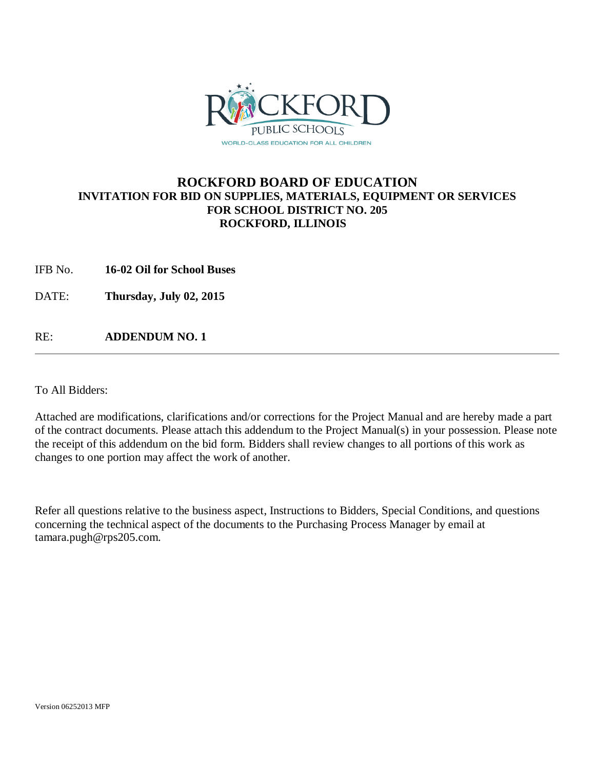

## **ROCKFORD BOARD OF EDUCATION INVITATION FOR BID ON SUPPLIES, MATERIALS, EQUIPMENT OR SERVICES FOR SCHOOL DISTRICT NO. 205 ROCKFORD, ILLINOIS**

IFB No. **16-02 Oil for School Buses**

DATE: **Thursday, July 02, 2015**

RE: **ADDENDUM NO. 1**

To All Bidders:

Attached are modifications, clarifications and/or corrections for the Project Manual and are hereby made a part of the contract documents. Please attach this addendum to the Project Manual(s) in your possession. Please note the receipt of this addendum on the bid form. Bidders shall review changes to all portions of this work as changes to one portion may affect the work of another.

Refer all questions relative to the business aspect, Instructions to Bidders, Special Conditions, and questions concerning the technical aspect of the documents to the Purchasing Process Manager by email at tamara.pugh@rps205.com.